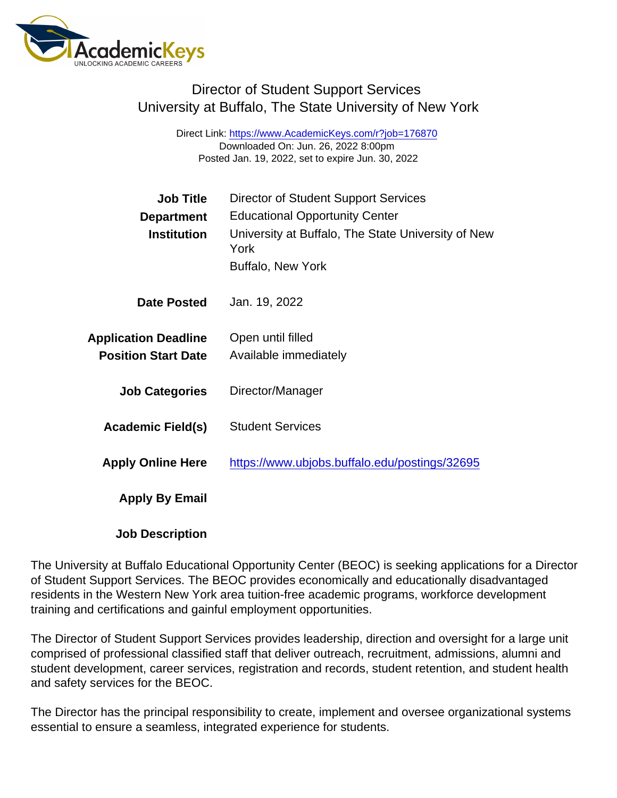# Director of Student Support Services University at Buffalo, The State University of New York

Direct Link: <https://www.AcademicKeys.com/r?job=176870> Downloaded On: Jun. 26, 2022 8:00pm Posted Jan. 19, 2022, set to expire Jun. 30, 2022

| <b>Job Title</b>            | <b>Director of Student Support Services</b>                |
|-----------------------------|------------------------------------------------------------|
| Department                  | <b>Educational Opportunity Center</b>                      |
| Institution                 | University at Buffalo, The State University of New<br>York |
|                             | <b>Buffalo, New York</b>                                   |
| Date Posted                 | Jan. 19, 2022                                              |
| <b>Application Deadline</b> | Open until filled                                          |
| <b>Position Start Date</b>  | Available immediately                                      |
| <b>Job Categories</b>       | Director/Manager                                           |
| Academic Field(s)           | <b>Student Services</b>                                    |
| <b>Apply Online Here</b>    | https://www.ubjobs.buffalo.edu/postings/32695              |
| Apply By Email              |                                                            |
|                             |                                                            |

Job Description

The University at Buffalo Educational Opportunity Center (BEOC) is seeking applications for a Director of Student Support Services. The BEOC provides economically and educationally disadvantaged residents in the Western New York area tuition-free academic programs, workforce development training and certifications and gainful employment opportunities.

The Director of Student Support Services provides leadership, direction and oversight for a large unit comprised of professional classified staff that deliver outreach, recruitment, admissions, alumni and student development, career services, registration and records, student retention, and student health and safety services for the BEOC.

The Director has the principal responsibility to create, implement and oversee organizational systems essential to ensure a seamless, integrated experience for students.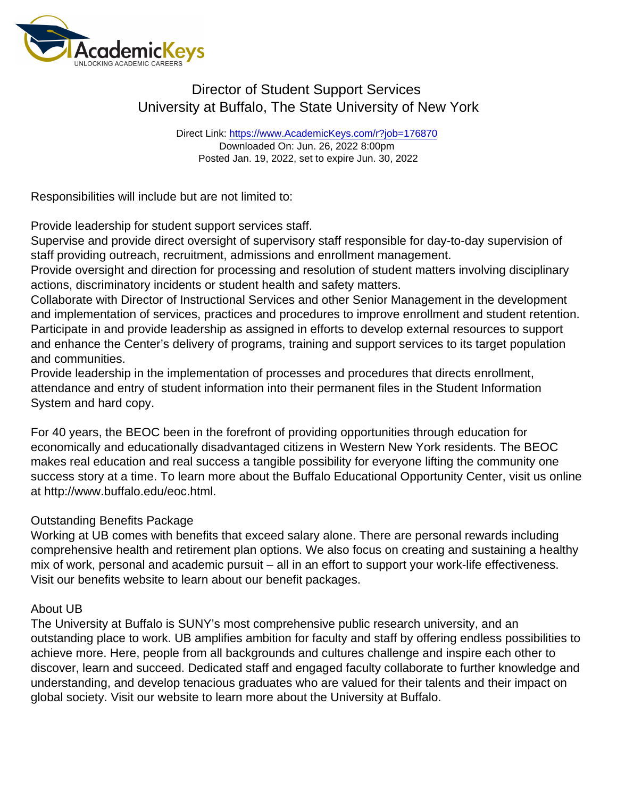# Director of Student Support Services University at Buffalo, The State University of New York

Direct Link: <https://www.AcademicKeys.com/r?job=176870> Downloaded On: Jun. 26, 2022 8:00pm Posted Jan. 19, 2022, set to expire Jun. 30, 2022

Responsibilities will include but are not limited to:

Provide leadership for student support services staff.

Supervise and provide direct oversight of supervisory staff responsible for day-to-day supervision of staff providing outreach, recruitment, admissions and enrollment management.

Provide oversight and direction for processing and resolution of student matters involving disciplinary actions, discriminatory incidents or student health and safety matters.

Collaborate with Director of Instructional Services and other Senior Management in the development and implementation of services, practices and procedures to improve enrollment and student retention. Participate in and provide leadership as assigned in efforts to develop external resources to support and enhance the Center's delivery of programs, training and support services to its target population and communities.

Provide leadership in the implementation of processes and procedures that directs enrollment, attendance and entry of student information into their permanent files in the Student Information System and hard copy.

For 40 years, the BEOC been in the forefront of providing opportunities through education for economically and educationally disadvantaged citizens in Western New York residents. The BEOC makes real education and real success a tangible possibility for everyone lifting the community one success story at a time. To learn more about the Buffalo Educational Opportunity Center, visit us online at http://www.buffalo.edu/eoc.html.

#### Outstanding Benefits Package

Working at UB comes with benefits that exceed salary alone. There are personal rewards including comprehensive health and retirement plan options. We also focus on creating and sustaining a healthy mix of work, personal and academic pursuit – all in an effort to support your work-life effectiveness. Visit our benefits website to learn about our benefit packages.

#### About UB

The University at Buffalo is SUNY's most comprehensive public research university, and an outstanding place to work. UB amplifies ambition for faculty and staff by offering endless possibilities to achieve more. Here, people from all backgrounds and cultures challenge and inspire each other to discover, learn and succeed. Dedicated staff and engaged faculty collaborate to further knowledge and understanding, and develop tenacious graduates who are valued for their talents and their impact on global society. Visit our website to learn more about the University at Buffalo.